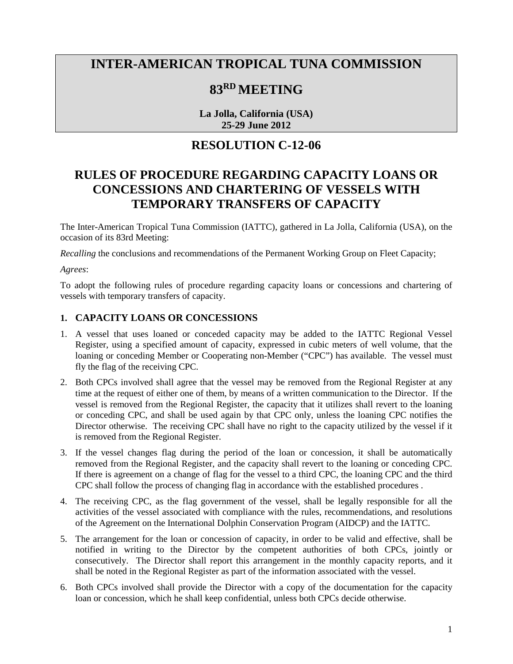# **INTER-AMERICAN TROPICAL TUNA COMMISSION**

### **83RD MEETING**

**La Jolla, California (USA) 25-29 June 2012**

#### **RESOLUTION C-12-06**

## **RULES OF PROCEDURE REGARDING CAPACITY LOANS OR CONCESSIONS AND CHARTERING OF VESSELS WITH TEMPORARY TRANSFERS OF CAPACITY**

The Inter-American Tropical Tuna Commission (IATTC), gathered in La Jolla, California (USA), on the occasion of its 83rd Meeting:

*Recalling* the conclusions and recommendations of the Permanent Working Group on Fleet Capacity;

*Agrees*:

To adopt the following rules of procedure regarding capacity loans or concessions and chartering of vessels with temporary transfers of capacity.

#### **1. CAPACITY LOANS OR CONCESSIONS**

- 1. A vessel that uses loaned or conceded capacity may be added to the IATTC Regional Vessel Register, using a specified amount of capacity, expressed in cubic meters of well volume, that the loaning or conceding Member or Cooperating non-Member ("CPC") has available. The vessel must fly the flag of the receiving CPC.
- 2. Both CPCs involved shall agree that the vessel may be removed from the Regional Register at any time at the request of either one of them, by means of a written communication to the Director. If the vessel is removed from the Regional Register, the capacity that it utilizes shall revert to the loaning or conceding CPC, and shall be used again by that CPC only, unless the loaning CPC notifies the Director otherwise. The receiving CPC shall have no right to the capacity utilized by the vessel if it is removed from the Regional Register.
- 3. If the vessel changes flag during the period of the loan or concession, it shall be automatically removed from the Regional Register, and the capacity shall revert to the loaning or conceding CPC. If there is agreement on a change of flag for the vessel to a third CPC, the loaning CPC and the third CPC shall follow the process of changing flag in accordance with the established procedures .
- 4. The receiving CPC, as the flag government of the vessel, shall be legally responsible for all the activities of the vessel associated with compliance with the rules, recommendations, and resolutions of the Agreement on the International Dolphin Conservation Program (AIDCP) and the IATTC.
- 5. The arrangement for the loan or concession of capacity, in order to be valid and effective, shall be notified in writing to the Director by the competent authorities of both CPCs, jointly or consecutively. The Director shall report this arrangement in the monthly capacity reports, and it shall be noted in the Regional Register as part of the information associated with the vessel.
- 6. Both CPCs involved shall provide the Director with a copy of the documentation for the capacity loan or concession, which he shall keep confidential, unless both CPCs decide otherwise.